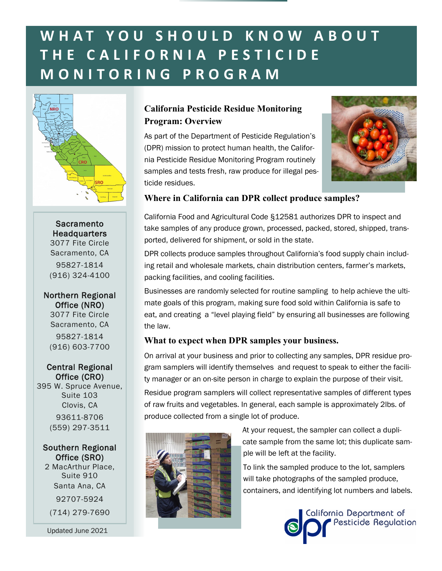# **W H A T Y O U S H O U L D K N O W A B O U T T H E C A L I F O R N I A P E S T I C I D E M O N I T O R I N G P R O G R A M**



**Sacramento Headquarters** 3077 Fite Circle Sacramento, CA 95827-1814 (916) 324-4100

Northern Regional Office (NRO) 3077 Fite Circle Sacramento, CA 95827-1814 (916) 603-7700

Central Regional Office (CRO)

395 W. Spruce Avenue, Suite 103 Clovis, CA 93611-8706 (559) 297-3511

#### Southern Regional Office (SRO)

2 MacArthur Place, Suite 910 Santa Ana, CA 92707-5924 (714) 279-7690

Updated June 2021

# **Program: Overview California Pesticide Residue Monitoring**

As part of the Department of Pesticide Regulation's samples and tests fresh, raw produce for illegal pes-(DPR) mission to protect human health, the California Pesticide Residue Monitoring Program routinely ticide residues.



### **Where in California can DPR collect produce samples?**

California Food and Agricultural Code §12581 authorizes DPR to inspect and take samples of any produce grown, processed, packed, stored, shipped, transported, delivered for shipment, or sold in the state.

DPR collects produce samples throughout California's food supply chain including retail and wholesale markets, chain distribution centers, farmer's markets, packing facilities, and cooling facilities.

Businesses are randomly selected for routine sampling to help achieve the ultimate goals of this program, making sure food sold within California is safe to eat, and creating a "level playing field" by ensuring all businesses are following the law.

### **What to expect when DPR samples your business.**

On arrival at your business and prior to collecting any samples, DPR residue program samplers will identify themselves and request to speak to either the facility manager or an on-site person in charge to explain the purpose of their visit. Residue program samplers will collect representative samples of different types of raw fruits and vegetables. In general, each sample is approximately 2lbs. of produce collected from a single lot of produce.



At your request, the sampler can collect a duplicate sample from the same lot; this duplicate sample will be left at the facility.

To link the sampled produce to the lot, samplers will take photographs of the sampled produce, containers, and identifying lot numbers and labels.